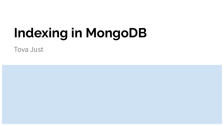# **Indexing in MongoDB**

Tova Just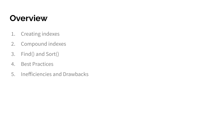## **Overview**

- 1. Creating indexes
- 2. Compound indexes
- 3. Find() and Sort()
- 4. Best Practices
- 5. Inefficiencies and Drawbacks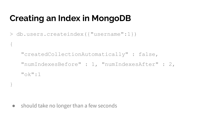# **Creating an Index in MongoDB**

```
> db.users.createindex({"username":1})
```
{

}

```
"createdCollectionAutomatically" : false, 
"numIndexesBefore" : 1, "numIndexesAfter" : 2,
"ok":1
```
● should take no longer than a few seconds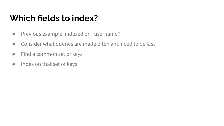# **Which fields to index?**

- Previous example: indexed on "username"
- Consider what queries are made often and need to be fast
- Find a common set of keys
- Index on that set of keys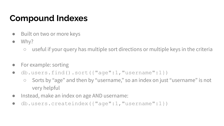# **Compound Indexes**

- Built on two or more keys
- $\bullet$  Why?
	- useful if your query has multiple sort directions or multiple keys in the criteria
- For example: sorting
- $\bullet$  db.users.find().sort({"age":1,"username":1})
	- Sorts by "age" and then by "username," so an index on just "username" is not very helpful
- Instead, make an index on age AND username:
- db.users.createindex({"age":1,"username":1})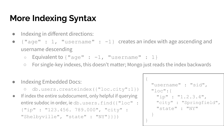# **More Indexing Syntax**

- Indexing in different directions:
- $\{\text{''age''} : 1, \text{''usename''} : -1\}$  creates an index with age ascending and username descending
	- Equivalent to  $\{ "age" : -1, "username" : 1\}$
	- For single-key indexes, this doesn't matter; Mongo just reads the index backwards
- Indexing Embedded Docs:
	- db.users.createindex({"loc.city":1})
- If index the entire subdocument, only helpful if querying entire subdoc in order, ie db.users.find({"loc" : {"ip" : "123.456. 789.000", "city" : "Shelbyville", "state" : "NY"}}})

```
{
  "username" : "sid",
  "loc":{
   "ip" : "1.2.3.4",
   "city" : "Springfield",
   "state" : "NY"
 }
}
```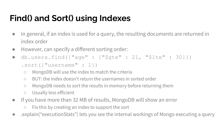# **Find() and Sort() using Indexes**

- In general, if an index is used for a query, the resulting documents are returned in index order
- However, can specify a different sorting order:
- db.users.find({"age" : {"\$gte" :  $21,$  "\$lte" :  $30$ }}) .sort({"username" : 1})
	- MongoDB will use the index to match the criteria
	- BUT: the index doesn't return the usernames in sorted order
	- MongoDB needs to sort the results in memory before returning them
	- Usually less efficient
- If you have more than 32 MB of results, MongoDB will show an error
	- $\circ$  Fix this by creating an index to support the sort
- explain("executionStats") lets you see the internal workings of Mongo executing a query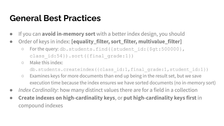### **General Best Practices**

- If you can **avoid in-memory sort** with a better index design, you should
- Order of keys in index: **[equality\_filter, sort\_filter, multivalue\_filter]**
	- o For the query: db.students.find({student\_id:{\$gt:500000}, class id:54}).sort({final grade:1})
	- Make this index:

db.students.createindex({class\_id:1,final\_grade:1,student\_id:1})

- Examines keys for more documents than end up being in the result set, but we save execution time because the index ensures we have sorted documents (no in-memory sort)
- *Index Cardinality*: how many distinct values there are for a field in a collection
- **Create indexes on high-cardinality keys**, or **put high-cardinality keys first** in compound indexes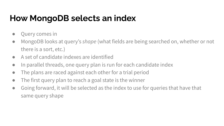# **How MongoDB selects an index**

- Query comes in
- MongoDB looks at query's *shape* (what fields are being searched on, whether or not there is a sort, etc.)
- A set of candidate indexes are identified
- In parallel threads, one query plan is run for each candidate index
- The plans are raced against each other for a trial period
- The first query plan to reach a goal state is the winner
- Going forward, it will be selected as the index to use for queries that have that same query shape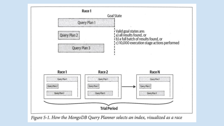

Figure 5-1. How the MongoDB Query Planner selects an index, visualized as a race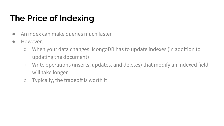# **The Price of Indexing**

- An index can make queries much faster
- However:
	- When your data changes, MongoDB has to update indexes (in addition to updating the document)
	- Write operations (inserts, updates, and deletes) that modify an indexed field will take longer
	- Typically, the tradeoff is worth it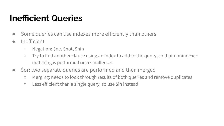# **Inefficient Queries**

- Some queries can use indexes more efficiently than others
- Inefficient
	- Negation: \$ne, \$not, \$nin
	- Try to find another clause using an index to add to the query, so that nonindexed matching is performed on a smaller set
- \$or: two separate queries are performed and then merged
	- Merging: needs to look through results of both queries and remove duplicates
	- Less efficient than a single query, so use \$in instead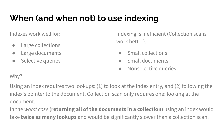# **When (and when not) to use indexing**

Indexes work well for:

- Large collections
- Large documents
- Selective queries

Indexing is inefficient (Collection scans work better):

- Small collections
- Small documents
- Nonselective queries

#### Why?

Using an index requires two lookups: (1) to look at the index entry, and (2) following the index's pointer to the document. Collection scan only requires one: looking at the document.

In the *worst case* (**returning all of the documents in a collection**) using an index would take **twice as many lookups** and would be significantly slower than a collection scan.